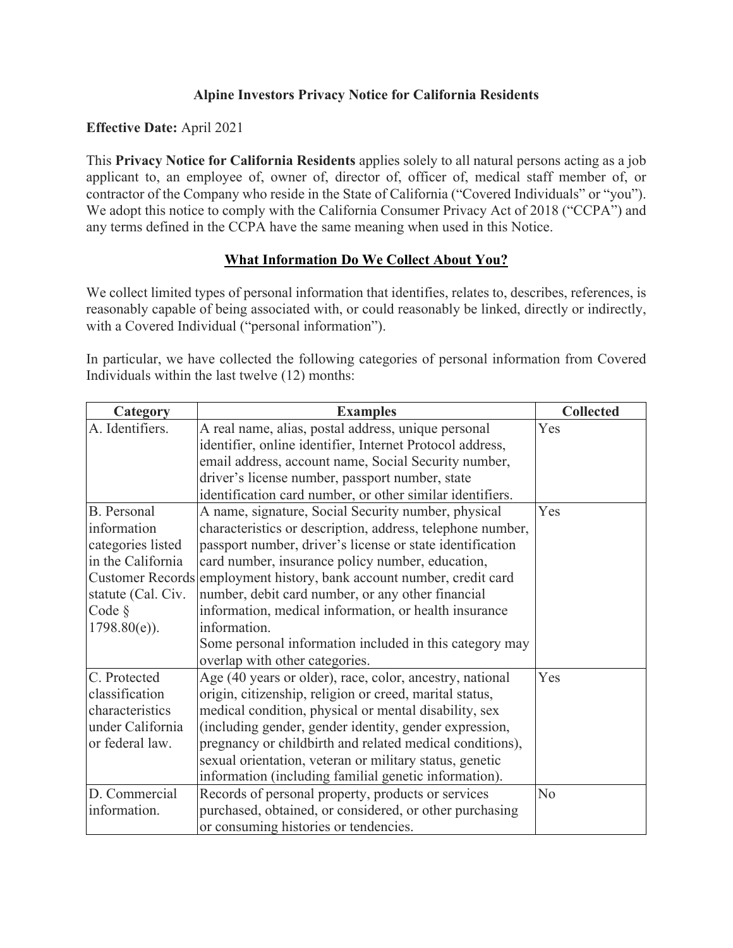# **Alpine Investors Privacy Notice for California Residents**

#### **Effective Date:** April 2021

This **Privacy Notice for California Residents** applies solely to all natural persons acting as a job applicant to, an employee of, owner of, director of, officer of, medical staff member of, or contractor of the Company who reside in the State of California ("Covered Individuals" or "you"). We adopt this notice to comply with the California Consumer Privacy Act of 2018 ("CCPA") and any terms defined in the CCPA have the same meaning when used in this Notice.

## **What Information Do We Collect About You?**

We collect limited types of personal information that identifies, relates to, describes, references, is reasonably capable of being associated with, or could reasonably be linked, directly or indirectly, with a Covered Individual ("personal information").

In particular, we have collected the following categories of personal information from Covered Individuals within the last twelve (12) months:

| Category           | <b>Examples</b>                                                       | <b>Collected</b> |
|--------------------|-----------------------------------------------------------------------|------------------|
| A. Identifiers.    | A real name, alias, postal address, unique personal                   | Yes              |
|                    | identifier, online identifier, Internet Protocol address,             |                  |
|                    | email address, account name, Social Security number,                  |                  |
|                    | driver's license number, passport number, state                       |                  |
|                    | identification card number, or other similar identifiers.             |                  |
| <b>B.</b> Personal | A name, signature, Social Security number, physical                   | Yes              |
| information        | characteristics or description, address, telephone number,            |                  |
| categories listed  | passport number, driver's license or state identification             |                  |
| in the California  | card number, insurance policy number, education,                      |                  |
|                    | Customer Records employment history, bank account number, credit card |                  |
| statute (Cal. Civ. | number, debit card number, or any other financial                     |                  |
| Code $\S$          | information, medical information, or health insurance                 |                  |
| $1798.80(e)$ ).    | information.                                                          |                  |
|                    | Some personal information included in this category may               |                  |
|                    | overlap with other categories.                                        |                  |
| C. Protected       | Age (40 years or older), race, color, ancestry, national              | Yes              |
| classification     | origin, citizenship, religion or creed, marital status,               |                  |
| characteristics    | medical condition, physical or mental disability, sex                 |                  |
| under California   | (including gender, gender identity, gender expression,                |                  |
| or federal law.    | pregnancy or childbirth and related medical conditions),              |                  |
|                    | sexual orientation, veteran or military status, genetic               |                  |
|                    | information (including familial genetic information).                 |                  |
| D. Commercial      | Records of personal property, products or services                    | N <sub>o</sub>   |
| information.       | purchased, obtained, or considered, or other purchasing               |                  |
|                    | or consuming histories or tendencies.                                 |                  |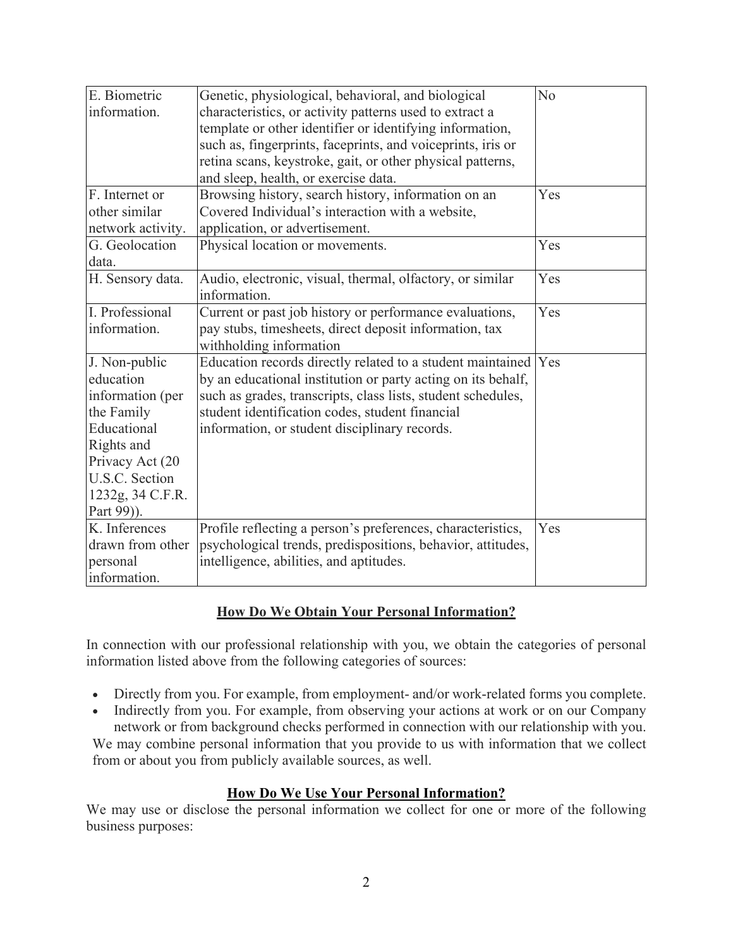| E. Biometric      | Genetic, physiological, behavioral, and biological           | N <sub>o</sub> |
|-------------------|--------------------------------------------------------------|----------------|
| information.      | characteristics, or activity patterns used to extract a      |                |
|                   | template or other identifier or identifying information,     |                |
|                   | such as, fingerprints, faceprints, and voiceprints, iris or  |                |
|                   | retina scans, keystroke, gait, or other physical patterns,   |                |
|                   | and sleep, health, or exercise data.                         |                |
| F. Internet or    | Browsing history, search history, information on an          | Yes            |
| other similar     | Covered Individual's interaction with a website,             |                |
| network activity. | application, or advertisement.                               |                |
| G. Geolocation    | Physical location or movements.                              | Yes            |
| data.             |                                                              |                |
| H. Sensory data.  | Audio, electronic, visual, thermal, olfactory, or similar    | Yes            |
|                   | information.                                                 |                |
| I. Professional   | Current or past job history or performance evaluations,      | Yes            |
| information.      | pay stubs, timesheets, direct deposit information, tax       |                |
|                   | withholding information                                      |                |
| J. Non-public     | Education records directly related to a student maintained   | Yes            |
| education         | by an educational institution or party acting on its behalf, |                |
| information (per  | such as grades, transcripts, class lists, student schedules, |                |
| the Family        | student identification codes, student financial              |                |
| Educational       | information, or student disciplinary records.                |                |
| Rights and        |                                                              |                |
| Privacy Act (20   |                                                              |                |
| U.S.C. Section    |                                                              |                |
| 1232g, 34 C.F.R.  |                                                              |                |
| Part 99)).        |                                                              |                |
| K. Inferences     | Profile reflecting a person's preferences, characteristics,  | Yes            |
| drawn from other  | psychological trends, predispositions, behavior, attitudes,  |                |
| personal          | intelligence, abilities, and aptitudes.                      |                |
| information.      |                                                              |                |

## **How Do We Obtain Your Personal Information?**

In connection with our professional relationship with you, we obtain the categories of personal information listed above from the following categories of sources:

- Directly from you. For example, from employment- and/or work-related forms you complete.
- Indirectly from you. For example, from observing your actions at work or on our Company network or from background checks performed in connection with our relationship with you.

We may combine personal information that you provide to us with information that we collect from or about you from publicly available sources, as well.

## **How Do We Use Your Personal Information?**

We may use or disclose the personal information we collect for one or more of the following business purposes: